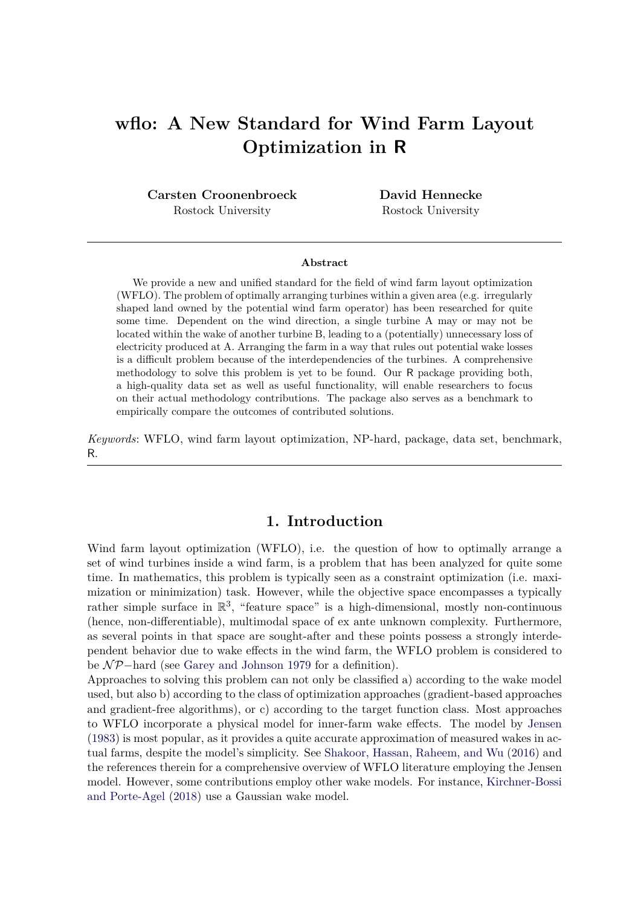# **wflo: A New Standard for Wind Farm Layout Optimization in R**

**Carsten Croonenbroeck** Rostock University

**David Hennecke** Rostock University

#### **Abstract**

We provide a new and unified standard for the field of wind farm layout optimization (WFLO). The problem of optimally arranging turbines within a given area (e.g. irregularly shaped land owned by the potential wind farm operator) has been researched for quite some time. Dependent on the wind direction, a single turbine A may or may not be located within the wake of another turbine B, leading to a (potentially) unnecessary loss of electricity produced at A. Arranging the farm in a way that rules out potential wake losses is a difficult problem because of the interdependencies of the turbines. A comprehensive methodology to solve this problem is yet to be found. Our R package providing both, a high-quality data set as well as useful functionality, will enable researchers to focus on their actual methodology contributions. The package also serves as a benchmark to empirically compare the outcomes of contributed solutions.

*Keywords*: WFLO, wind farm layout optimization, NP-hard, package, data set, benchmark, R.

### **1. Introduction**

Wind farm layout optimization (WFLO), i.e. the question of how to optimally arrange a set of wind turbines inside a wind farm, is a problem that has been analyzed for quite some time. In mathematics, this problem is typically seen as a constraint optimization (i.e. maximization or minimization) task. However, while the objective space encompasses a typically rather simple surface in  $\mathbb{R}^3$ , "feature space" is a high-dimensional, mostly non-continuous (hence, non-differentiable), multimodal space of ex ante unknown complexity. Furthermore, as several points in that space are sought-after and these points possess a strongly interdependent behavior due to wake effects in the wind farm, the WFLO problem is considered to be N P−hard (see [Garey and Johnson 1979](#page-24-0) for a definition).

Approaches to solving this problem can not only be classified a) according to the wake model used, but also b) according to the class of optimization approaches (gradient-based approaches and gradient-free algorithms), or c) according to the target function class. Most approaches to WFLO incorporate a physical model for inner-farm wake effects. The model by [Jensen](#page-24-1) [\(1983\)](#page-24-1) is most popular, as it provides a quite accurate approximation of measured wakes in actual farms, despite the model's simplicity. See [Shakoor, Hassan, Raheem, and Wu](#page-24-2) [\(2016\)](#page-24-2) and the references therein for a comprehensive overview of WFLO literature employing the Jensen model. However, some contributions employ other wake models. For instance, [Kirchner-Bossi](#page-24-3) [and Porte-Agel](#page-24-3) [\(2018\)](#page-24-3) use a Gaussian wake model.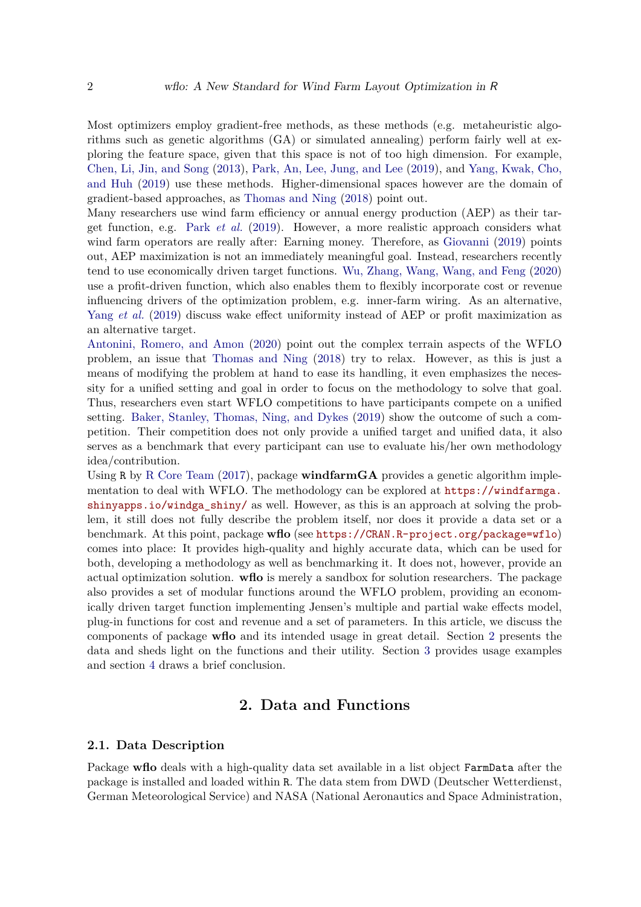Most optimizers employ gradient-free methods, as these methods (e.g. metaheuristic algorithms such as genetic algorithms (GA) or simulated annealing) perform fairly well at exploring the feature space, given that this space is not of too high dimension. For example, [Chen, Li, Jin, and Song](#page-24-4) [\(2013\)](#page-24-4), [Park, An, Lee, Jung, and Lee](#page-24-5) [\(2019\)](#page-24-5), and [Yang, Kwak, Cho,](#page-25-0) [and Huh](#page-25-0) [\(2019\)](#page-25-0) use these methods. Higher-dimensional spaces however are the domain of gradient-based approaches, as [Thomas and Ning](#page-25-1) [\(2018\)](#page-25-1) point out.

Many researchers use wind farm efficiency or annual energy production (AEP) as their target function, e.g. Park *[et al.](#page-24-5)* [\(2019\)](#page-24-5). However, a more realistic approach considers what wind farm operators are really after: Earning money. Therefore, as [Giovanni](#page-24-6) [\(2019\)](#page-24-6) points out, AEP maximization is not an immediately meaningful goal. Instead, researchers recently tend to use economically driven target functions. [Wu, Zhang, Wang, Wang, and Feng](#page-25-2) [\(2020\)](#page-25-2) use a profit-driven function, which also enables them to flexibly incorporate cost or revenue influencing drivers of the optimization problem, e.g. inner-farm wiring. As an alternative, Yang *[et al.](#page-25-0)* [\(2019\)](#page-25-0) discuss wake effect uniformity instead of AEP or profit maximization as an alternative target.

[Antonini, Romero, and Amon](#page-24-7) [\(2020\)](#page-24-7) point out the complex terrain aspects of the WFLO problem, an issue that [Thomas and Ning](#page-25-1) [\(2018\)](#page-25-1) try to relax. However, as this is just a means of modifying the problem at hand to ease its handling, it even emphasizes the necessity for a unified setting and goal in order to focus on the methodology to solve that goal. Thus, researchers even start WFLO competitions to have participants compete on a unified setting. [Baker, Stanley, Thomas, Ning, and Dykes](#page-24-8) [\(2019\)](#page-24-8) show the outcome of such a competition. Their competition does not only provide a unified target and unified data, it also serves as a benchmark that every participant can use to evaluate his/her own methodology idea/contribution.

Using R by [R Core Team](#page-24-9) [\(2017\)](#page-24-9), package **windfarmGA** provides a genetic algorithm implementation to deal with WFLO. The methodology can be explored at [https://windfarmga.](https://windfarmga.shinyapps.io/windga_shiny/) [shinyapps.io/windga\\_shiny/](https://windfarmga.shinyapps.io/windga_shiny/) as well. However, as this is an approach at solving the problem, it still does not fully describe the problem itself, nor does it provide a data set or a benchmark. At this point, package **wflo** (see <https://CRAN.R-project.org/package=wflo>) comes into place: It provides high-quality and highly accurate data, which can be used for both, developing a methodology as well as benchmarking it. It does not, however, provide an actual optimization solution. **wflo** is merely a sandbox for solution researchers. The package also provides a set of modular functions around the WFLO problem, providing an economically driven target function implementing Jensen's multiple and partial wake effects model, plug-in functions for cost and revenue and a set of parameters. In this article, we discuss the components of package **wflo** and its intended usage in great detail. Section [2](#page-1-0) presents the data and sheds light on the functions and their utility. Section [3](#page-6-0) provides usage examples and section [4](#page-13-0) draws a brief conclusion.

## **2. Data and Functions**

#### <span id="page-1-1"></span><span id="page-1-0"></span>**2.1. Data Description**

Package **wflo** deals with a high-quality data set available in a list object **FarmData** after the package is installed and loaded within R. The data stem from DWD (Deutscher Wetterdienst, German Meteorological Service) and NASA (National Aeronautics and Space Administration,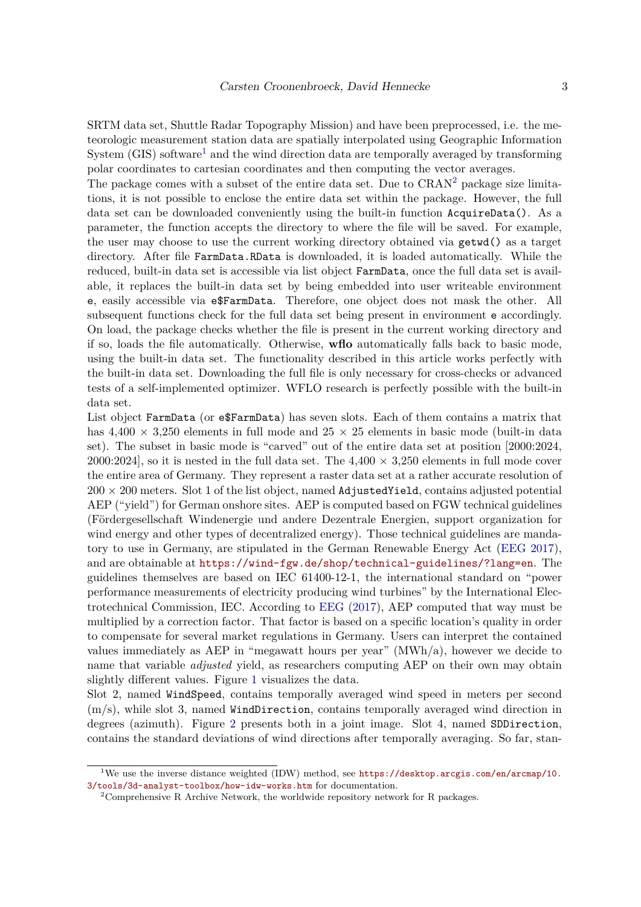SRTM data set, Shuttle Radar Topography Mission) and have been preprocessed, i.e. the meteorologic measurement station data are spatially interpolated using Geographic Information System  $(GIS)$  software<sup>[1](#page-2-0)</sup> and the wind direction data are temporally averaged by transforming polar coordinates to cartesian coordinates and then computing the vector averages.

The package comes with a subset of the entire data set. Due to  $CRAN<sup>2</sup>$  $CRAN<sup>2</sup>$  $CRAN<sup>2</sup>$  package size limitations, it is not possible to enclose the entire data set within the package. However, the full data set can be downloaded conveniently using the built-in function AcquireData(). As a parameter, the function accepts the directory to where the file will be saved. For example, the user may choose to use the current working directory obtained via getwd() as a target directory. After file FarmData.RData is downloaded, it is loaded automatically. While the reduced, built-in data set is accessible via list object FarmData, once the full data set is available, it replaces the built-in data set by being embedded into user writeable environment e, easily accessible via e\$FarmData. Therefore, one object does not mask the other. All subsequent functions check for the full data set being present in environment e accordingly. On load, the package checks whether the file is present in the current working directory and if so, loads the file automatically. Otherwise, **wflo** automatically falls back to basic mode, using the built-in data set. The functionality described in this article works perfectly with the built-in data set. Downloading the full file is only necessary for cross-checks or advanced tests of a self-implemented optimizer. WFLO research is perfectly possible with the built-in data set.

List object FarmData (or e\$FarmData) has seven slots. Each of them contains a matrix that has  $4.400 \times 3.250$  elements in full mode and  $25 \times 25$  elements in basic mode (built-in data set). The subset in basic mode is "carved" out of the entire data set at position [2000:2024, 2000:2024], so it is nested in the full data set. The  $4,400 \times 3,250$  elements in full mode cover the entire area of Germany. They represent a raster data set at a rather accurate resolution of  $200 \times 200$  meters. Slot 1 of the list object, named AdjustedYield, contains adjusted potential AEP ("yield") for German onshore sites. AEP is computed based on FGW technical guidelines (Fördergesellschaft Windenergie und andere Dezentrale Energien, support organization for wind energy and other types of decentralized energy). Those technical guidelines are mandatory to use in Germany, are stipulated in the German Renewable Energy Act [\(EEG 2017\)](#page-24-10), and are obtainable at <https://wind-fgw.de/shop/technical-guidelines/?lang=en>. The guidelines themselves are based on IEC 61400-12-1, the international standard on "power performance measurements of electricity producing wind turbines" by the International Electrotechnical Commission, IEC. According to [EEG](#page-24-10) [\(2017\)](#page-24-10), AEP computed that way must be multiplied by a correction factor. That factor is based on a specific location's quality in order to compensate for several market regulations in Germany. Users can interpret the contained values immediately as AEP in "megawatt hours per year" (MWh/a), however we decide to name that variable *adjusted* yield, as researchers computing AEP on their own may obtain slightly different values. Figure [1](#page-7-0) visualizes the data.

Slot 2, named WindSpeed, contains temporally averaged wind speed in meters per second (m/s), while slot 3, named WindDirection, contains temporally averaged wind direction in degrees (azimuth). Figure [2](#page-15-0) presents both in a joint image. Slot 4, named SDDirection, contains the standard deviations of wind directions after temporally averaging. So far, stan-

<span id="page-2-0"></span><sup>&</sup>lt;sup>1</sup>We use the inverse distance weighted (IDW) method, see [https://desktop.arcgis.com/en/arcmap/10.](https://desktop.arcgis.com/en/arcmap/10.3/tools/3d-analyst-toolbox/how-idw-works.htm) [3/tools/3d-analyst-toolbox/how-idw-works.htm](https://desktop.arcgis.com/en/arcmap/10.3/tools/3d-analyst-toolbox/how-idw-works.htm) for documentation.

<span id="page-2-1"></span><sup>&</sup>lt;sup>2</sup>Comprehensive R Archive Network, the worldwide repository network for R packages.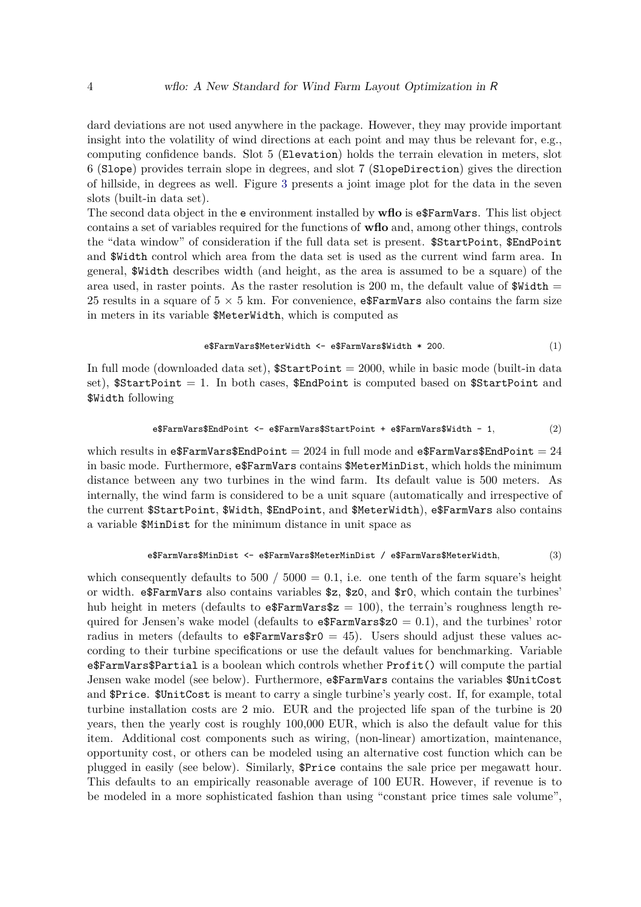dard deviations are not used anywhere in the package. However, they may provide important insight into the volatility of wind directions at each point and may thus be relevant for, e.g., computing confidence bands. Slot 5 (Elevation) holds the terrain elevation in meters, slot 6 (Slope) provides terrain slope in degrees, and slot 7 (SlopeDirection) gives the direction of hillside, in degrees as well. Figure [3](#page-16-0) presents a joint image plot for the data in the seven slots (built-in data set).

The second data object in the **e** environment installed by **wflo** is **e**\$FarmVars. This list object contains a set of variables required for the functions of **wflo** and, among other things, controls the "data window" of consideration if the full data set is present. \$StartPoint, \$EndPoint and \$Width control which area from the data set is used as the current wind farm area. In general, \$Width describes width (and height, as the area is assumed to be a square) of the area used, in raster points. As the raster resolution is 200 m, the default value of  $\texttt{Width} =$ 25 results in a square of  $5 \times 5$  km. For convenience, e\$FarmVars also contains the farm size in meters in its variable \$MeterWidth, which is computed as

$$
e$FarmVars$MeterWidth <- e$FarmVars$Width * 200. \tag{1}
$$

In full mode (downloaded data set),  $$StartPoint = 2000$ , while in basic mode (built-in data set),  $$StartPoint = 1$ . In both cases,  $$EndPoint$  is computed based on  $$StartPoint$  and \$Width following

$$
\verb& \# FarmVars\$EndPoint <- \verb& \#5armVars\$StartPoint + \verb& \#5armVars\$Width - 1, (2) \\
$$

which results in e\$FarmVars\$EndPoint = 2024 in full mode and e\$FarmVars\$EndPoint =  $24$ in basic mode. Furthermore,  $e$ \$FarmVars contains \$MeterMinDist, which holds the minimum distance between any two turbines in the wind farm. Its default value is 500 meters. As internally, the wind farm is considered to be a unit square (automatically and irrespective of the current \$StartPoint, \$Width, \$EndPoint, and \$MeterWidth), e\$FarmVars also contains a variable \$MinDist for the minimum distance in unit space as

e\$FarmVars\$MinDist <- e\$FarmVars\$MeterMinDist / e\$FarmVars\$MeterWidth*,* (3)

which consequently defaults to  $500 / 5000 = 0.1$ , i.e. one tenth of the farm square's height or width. e\$FarmVars also contains variables \$z, \$z0, and \$r0, which contain the turbines' hub height in meters (defaults to  $\epsilon$ FarmVars\$z = 100), the terrain's roughness length required for Jensen's wake model (defaults to  $\epsilon$ FarmVars\$z0 = 0.1), and the turbines' rotor radius in meters (defaults to  $\epsilon$ FarmVars $\epsilon$ r0 = 45). Users should adjust these values according to their turbine specifications or use the default values for benchmarking. Variable e\$FarmVars\$Partial is a boolean which controls whether Profit() will compute the partial Jensen wake model (see below). Furthermore, e\$FarmVars contains the variables \$UnitCost and \$Price. \$UnitCost is meant to carry a single turbine's yearly cost. If, for example, total turbine installation costs are 2 mio. EUR and the projected life span of the turbine is 20 years, then the yearly cost is roughly 100,000 EUR, which is also the default value for this item. Additional cost components such as wiring, (non-linear) amortization, maintenance, opportunity cost, or others can be modeled using an alternative cost function which can be plugged in easily (see below). Similarly, \$Price contains the sale price per megawatt hour. This defaults to an empirically reasonable average of 100 EUR. However, if revenue is to be modeled in a more sophisticated fashion than using "constant price times sale volume",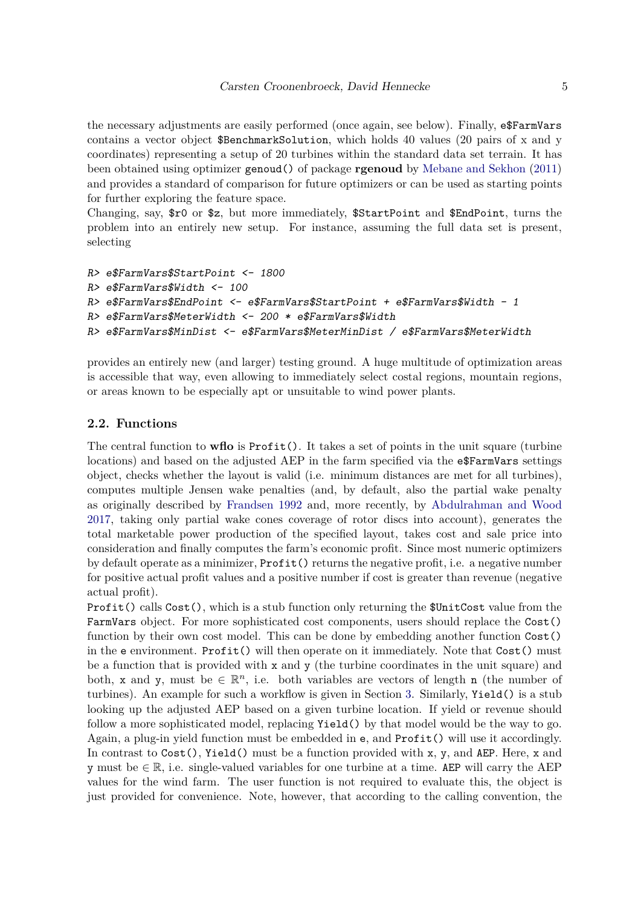the necessary adjustments are easily performed (once again, see below). Finally, e\$FarmVars contains a vector object \$BenchmarkSolution, which holds 40 values (20 pairs of x and y coordinates) representing a setup of 20 turbines within the standard data set terrain. It has been obtained using optimizer genoud() of package **rgenoud** by [Mebane and Sekhon](#page-24-11) [\(2011\)](#page-24-11) and provides a standard of comparison for future optimizers or can be used as starting points for further exploring the feature space.

Changing, say, \$r0 or \$z, but more immediately, \$StartPoint and \$EndPoint, turns the problem into an entirely new setup. For instance, assuming the full data set is present, selecting

```
R> e$FarmVars$StartPoint <- 1800
R> e$FarmVars$Width <- 100
R> e$FarmVars$EndPoint <- e$FarmVars$StartPoint + e$FarmVars$Width - 1
R> e$FarmVars$MeterWidth <- 200 * e$FarmVars$Width
R> e$FarmVars$MinDist <- e$FarmVars$MeterMinDist / e$FarmVars$MeterWidth
```
provides an entirely new (and larger) testing ground. A huge multitude of optimization areas is accessible that way, even allowing to immediately select costal regions, mountain regions, or areas known to be especially apt or unsuitable to wind power plants.

## **2.2. Functions**

The central function to **wflo** is Profit(). It takes a set of points in the unit square (turbine locations) and based on the adjusted AEP in the farm specified via the e\$FarmVars settings object, checks whether the layout is valid (i.e. minimum distances are met for all turbines), computes multiple Jensen wake penalties (and, by default, also the partial wake penalty as originally described by [Frandsen 1992](#page-24-12) and, more recently, by [Abdulrahman and Wood](#page-24-13) [2017,](#page-24-13) taking only partial wake cones coverage of rotor discs into account), generates the total marketable power production of the specified layout, takes cost and sale price into consideration and finally computes the farm's economic profit. Since most numeric optimizers by default operate as a minimizer, Profit() returns the negative profit, i.e. a negative number for positive actual profit values and a positive number if cost is greater than revenue (negative actual profit).

Profit() calls Cost(), which is a stub function only returning the \$UnitCost value from the FarmVars object. For more sophisticated cost components, users should replace the Cost() function by their own cost model. This can be done by embedding another function Cost() in the e environment. Profit() will then operate on it immediately. Note that Cost() must be a function that is provided with x and y (the turbine coordinates in the unit square) and both, x and y, must be  $\in \mathbb{R}^n$ , i.e. both variables are vectors of length n (the number of turbines). An example for such a workflow is given in Section [3.](#page-6-0) Similarly, Yield() is a stub looking up the adjusted AEP based on a given turbine location. If yield or revenue should follow a more sophisticated model, replacing Yield() by that model would be the way to go. Again, a plug-in yield function must be embedded in e, and Profit() will use it accordingly. In contrast to  $Cost(),$  Yield() must be a function provided with x, y, and AEP. Here, x and y must be  $\in \mathbb{R}$ , i.e. single-valued variables for one turbine at a time. AEP will carry the AEP values for the wind farm. The user function is not required to evaluate this, the object is just provided for convenience. Note, however, that according to the calling convention, the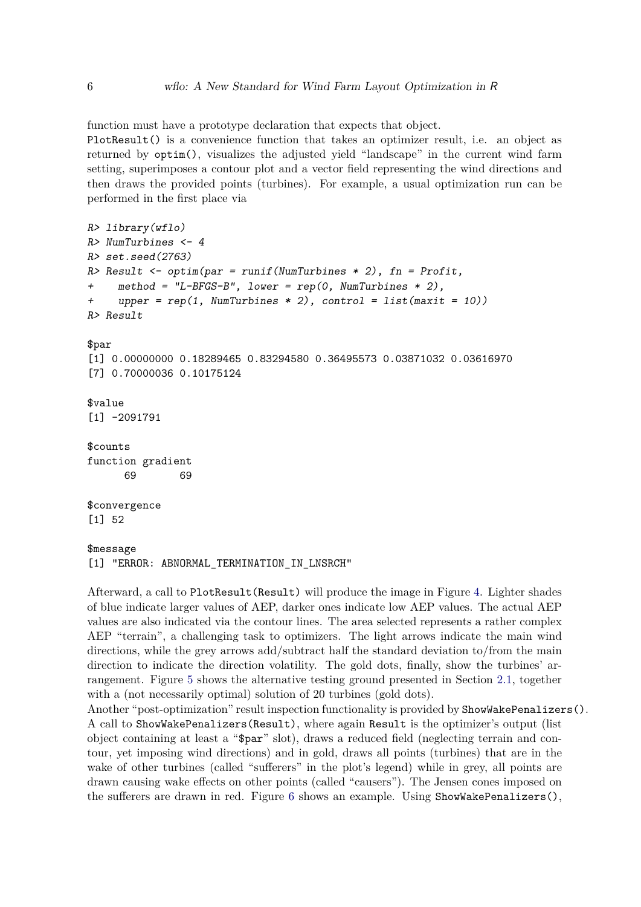function must have a prototype declaration that expects that object.

PlotResult() is a convenience function that takes an optimizer result, i.e. an object as returned by optim(), visualizes the adjusted yield "landscape" in the current wind farm setting, superimposes a contour plot and a vector field representing the wind directions and then draws the provided points (turbines). For example, a usual optimization run can be performed in the first place via

```
R> library(wflo)
R> NumTurbines <- 4
R> set.seed(2763)
R> Result <- optim(par = runif(NumTurbines * 2), fn = Profit,
     + method = "L-BFGS-B", lower = rep(0, NumTurbines * 2),
     + upper = rep(1, NumTurbines * 2), control = list(maxit = 10))
R> Result
$par
[1] 0.00000000 0.18289465 0.83294580 0.36495573 0.03871032 0.03616970
[7] 0.70000036 0.10175124
$value
[1] -2091791
$counts
function gradient
      69 69
$convergence
[1] 52
$message
[1] "ERROR: ABNORMAL_TERMINATION_IN_LNSRCH"
```
Afterward, a call to PlotResult(Result) will produce the image in Figure [4.](#page-17-0) Lighter shades of blue indicate larger values of AEP, darker ones indicate low AEP values. The actual AEP values are also indicated via the contour lines. The area selected represents a rather complex AEP "terrain", a challenging task to optimizers. The light arrows indicate the main wind directions, while the grey arrows add/subtract half the standard deviation to/from the main direction to indicate the direction volatility. The gold dots, finally, show the turbines' arrangement. Figure [5](#page-18-0) shows the alternative testing ground presented in Section [2.1,](#page-1-1) together with a (not necessarily optimal) solution of 20 turbines (gold dots).

Another "post-optimization" result inspection functionality is provided by ShowWakePenalizers(). A call to ShowWakePenalizers(Result), where again Result is the optimizer's output (list object containing at least a "\$par" slot), draws a reduced field (neglecting terrain and contour, yet imposing wind directions) and in gold, draws all points (turbines) that are in the wake of other turbines (called "sufferers" in the plot's legend) while in grey, all points are drawn causing wake effects on other points (called "causers"). The Jensen cones imposed on the sufferers are drawn in red. Figure [6](#page-19-0) shows an example. Using ShowWakePenalizers(),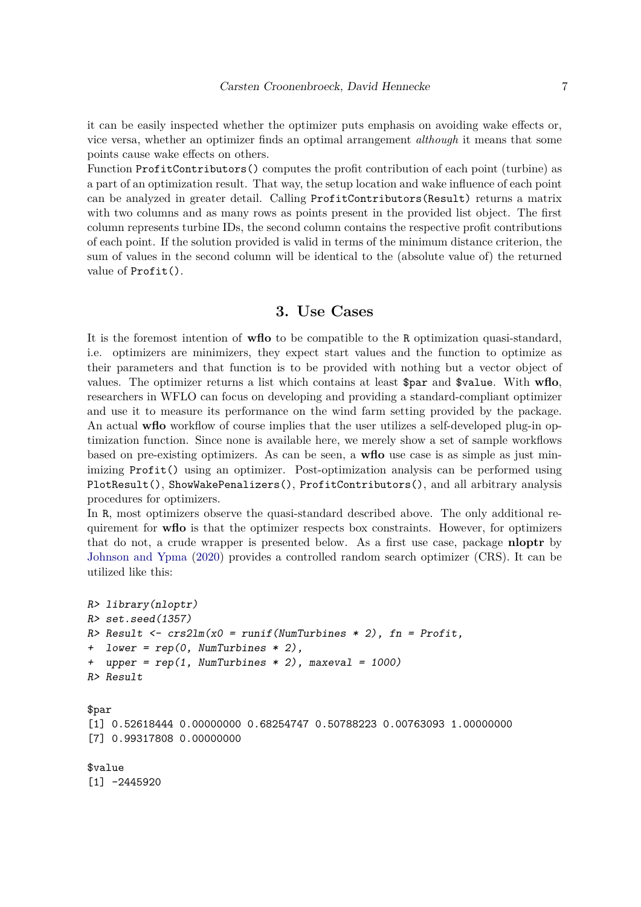it can be easily inspected whether the optimizer puts emphasis on avoiding wake effects or, vice versa, whether an optimizer finds an optimal arrangement *although* it means that some points cause wake effects on others.

Function ProfitContributors() computes the profit contribution of each point (turbine) as a part of an optimization result. That way, the setup location and wake influence of each point can be analyzed in greater detail. Calling ProfitContributors(Result) returns a matrix with two columns and as many rows as points present in the provided list object. The first column represents turbine IDs, the second column contains the respective profit contributions of each point. If the solution provided is valid in terms of the minimum distance criterion, the sum of values in the second column will be identical to the (absolute value of) the returned value of Profit().

## **3. Use Cases**

<span id="page-6-0"></span>It is the foremost intention of **wflo** to be compatible to the R optimization quasi-standard, i.e. optimizers are minimizers, they expect start values and the function to optimize as their parameters and that function is to be provided with nothing but a vector object of values. The optimizer returns a list which contains at least \$par and \$value. With **wflo**, researchers in WFLO can focus on developing and providing a standard-compliant optimizer and use it to measure its performance on the wind farm setting provided by the package. An actual **wflo** workflow of course implies that the user utilizes a self-developed plug-in optimization function. Since none is available here, we merely show a set of sample workflows based on pre-existing optimizers. As can be seen, a **wflo** use case is as simple as just minimizing Profit() using an optimizer. Post-optimization analysis can be performed using PlotResult(), ShowWakePenalizers(), ProfitContributors(), and all arbitrary analysis procedures for optimizers.

In R, most optimizers observe the quasi-standard described above. The only additional requirement for **wflo** is that the optimizer respects box constraints. However, for optimizers that do not, a crude wrapper is presented below. As a first use case, package **nloptr** by [Johnson and Ypma](#page-24-14) [\(2020\)](#page-24-14) provides a controlled random search optimizer (CRS). It can be utilized like this:

```
R> library(nloptr)
R> set.seed(1357)
R> Result <- crs2lm(x0 = runif(NumTurbines * 2), fn = Profit,
+ lower = rep(0, NumTurbines * 2),
+ upper = rep(1, NumTurbines * 2), maxeval = 1000)
R> Result
$par
[1] 0.52618444 0.00000000 0.68254747 0.50788223 0.00763093 1.00000000
[7] 0.99317808 0.00000000
$value
[1] -2445920
```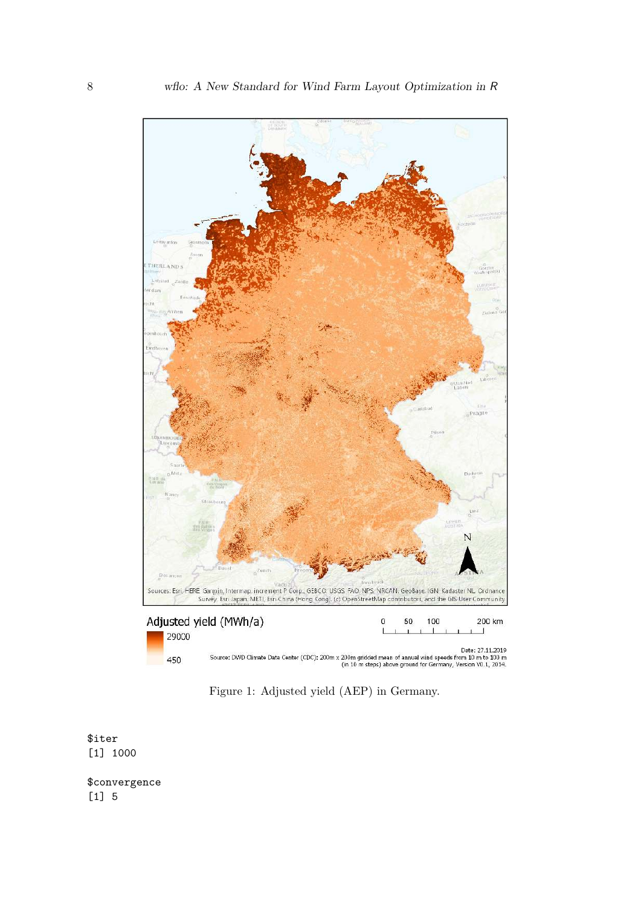

<span id="page-7-0"></span>Figure 1: Adjusted yield (AEP) in Germany.

\$iter [1] 1000

\$convergence [1] 5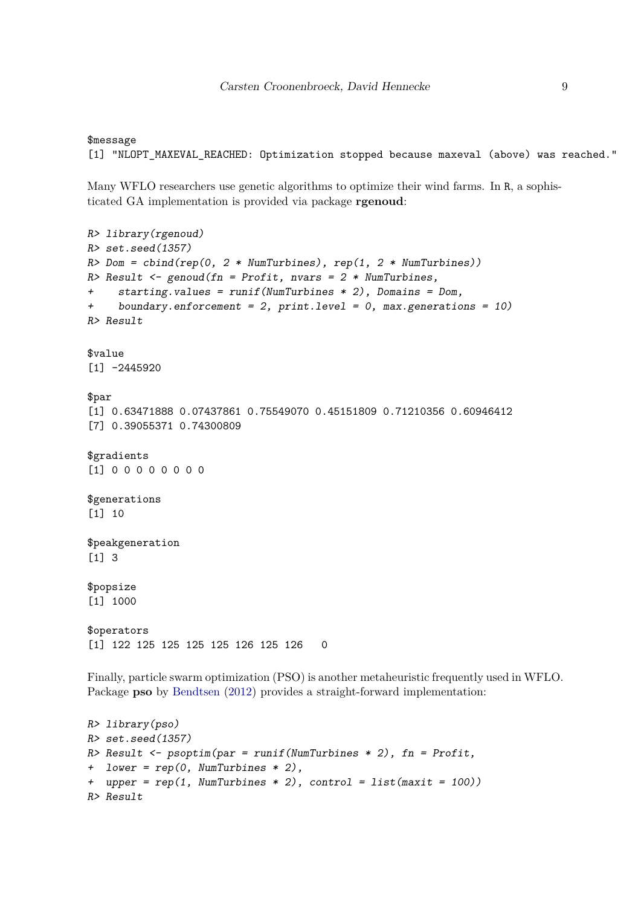## \$message [1] "NLOPT\_MAXEVAL\_REACHED: Optimization stopped because maxeval (above) was reached."

Many WFLO researchers use genetic algorithms to optimize their wind farms. In R, a sophisticated GA implementation is provided via package **rgenoud**:

```
R> library(rgenoud)
R> set.seed(1357)
R> Dom = cbind(rep(0, 2 * NumTurbines), rep(1, 2 * NumTurbines))
R> Result <- genoud(fn = Profit, nvars = 2 * NumTurbines,
+ starting.values = runif(NumTurbines * 2), Domains = Dom,
+ boundary.enforcement = 2, print.level = 0, max.generations = 10)
R> Result
$value
[1] -2445920$par
[1] 0.63471888 0.07437861 0.75549070 0.45151809 0.71210356 0.60946412
[7] 0.39055371 0.74300809
$gradients
[1] 0 0 0 0 0 0 0 0
$generations
[1] 10
$peakgeneration
[1] 3
$popsize
[1] 1000
$operators
[1] 122 125 125 125 125 126 125 126 0
Finally, particle swarm optimization (PSO) is another metaheuristic frequently used in WFLO.
Package psoBendtsen(2012) provides a straight-forward implementation:
```

```
R> library(pso)
R> set.seed(1357)
R> Result <- psoptim(par = runif(NumTurbines * 2), fn = Profit,
+ lower = rep(0, NumTurbines * 2),
+ upper = rep(1, NumTurbines * 2), control = list(maxit = 100))
R> Result
```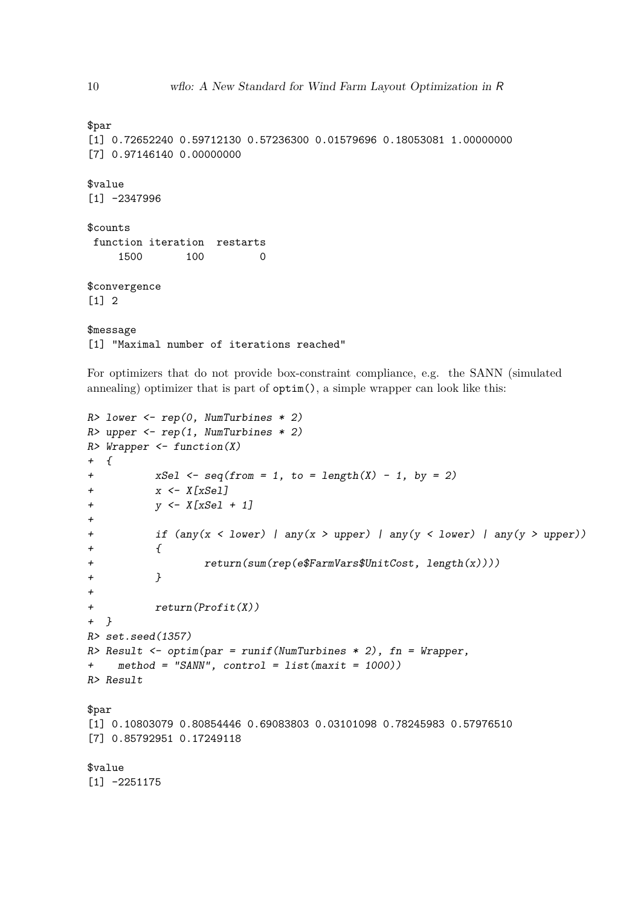\$par

\$value

```
[1] 0.72652240 0.59712130 0.57236300 0.01579696 0.18053081 1.00000000
[7] 0.97146140 0.00000000
```
[1] -2347996 \$counts function iteration restarts 1500 100 0

\$convergence [1] 2

\$message [1] "Maximal number of iterations reached"

For optimizers that do not provide box-constraint compliance, e.g. the SANN (simulated annealing) optimizer that is part of optim(), a simple wrapper can look like this:

```
R> lower <- rep(0, NumTurbines * 2)
R> upper <- rep(1, NumTurbines * 2)
R> Wrapper <- function(X)
+ {
+ xSel <- seq(from = 1, to = length(X) - 1, by = 2)
+ x <- X[xSel]
+ y <- X[xSel + 1]
+
+ if (any(x < lower) | any(x > upper) | any(y < lower) | any(y > upper))
+ {
+ return(sum(rep(e$FarmVars$UnitCost, length(x))))
+ }
+
+ return(Profit(X))
+ }
R> set.seed(1357)
R> Result <- optim(par = runif(NumTurbines * 2), fn = Wrapper,
+ method = "SANN", control = list(maxit = 1000))
R> Result
$par
[1] 0.10803079 0.80854446 0.69083803 0.03101098 0.78245983 0.57976510
[7] 0.85792951 0.17249118
$value
[1] -2251175
```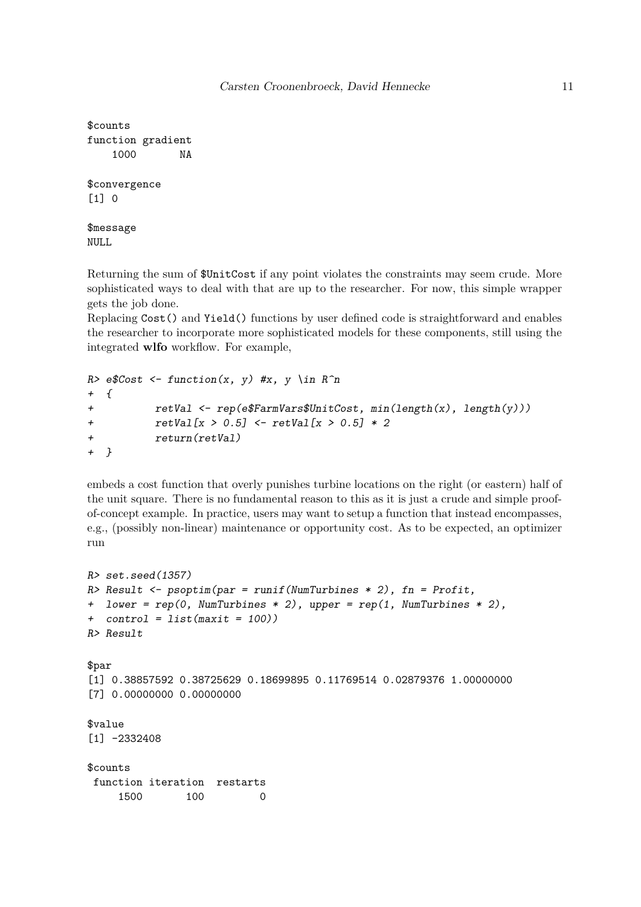```
$counts
function gradient
   1000 NA
$convergence
[1] 0
$message
```
NULL

Returning the sum of \$UnitCost if any point violates the constraints may seem crude. More sophisticated ways to deal with that are up to the researcher. For now, this simple wrapper gets the job done.

Replacing Cost() and Yield() functions by user defined code is straightforward and enables the researcher to incorporate more sophisticated models for these components, still using the integrated **wlfo** workflow. For example,

```
R> e$Cost <- function(x, y) #x, y \in R^n
+ {
+ retVal <- rep(e$FarmVars$UnitCost, min(length(x), length(y)))
+ retVal[x > 0.5] <- retVal[x > 0.5] * 2
+ return(retVal)
+ }
```
embeds a cost function that overly punishes turbine locations on the right (or eastern) half of the unit square. There is no fundamental reason to this as it is just a crude and simple proofof-concept example. In practice, users may want to setup a function that instead encompasses, e.g., (possibly non-linear) maintenance or opportunity cost. As to be expected, an optimizer run

```
R> set.seed(1357)
R> Result <- psoptim(par = runif(NumTurbines * 2), fn = Profit,
+ lower = rep(0, NumTurbines * 2), upper = rep(1, NumTurbines * 2),
+ control = list(maxit = 100))
R> Result
$par
[1] 0.38857592 0.38725629 0.18699895 0.11769514 0.02879376 1.00000000
[7] 0.00000000 0.00000000
$value
[1] -2332408$counts
 function iteration restarts
    1500 100 0
```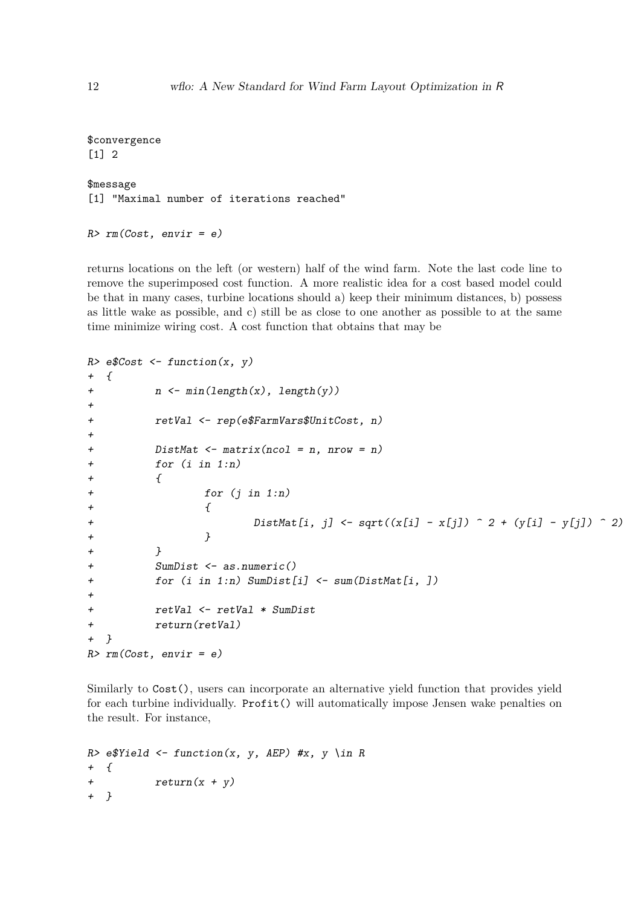```
$convergence
[1] 2
$message
[1] "Maximal number of iterations reached"
```

```
R> rm(Cost, envir = e)
```
returns locations on the left (or western) half of the wind farm. Note the last code line to remove the superimposed cost function. A more realistic idea for a cost based model could be that in many cases, turbine locations should a) keep their minimum distances, b) possess as little wake as possible, and c) still be as close to one another as possible to at the same time minimize wiring cost. A cost function that obtains that may be

```
R> e$Cost <- function(x, y)
+ {
+ n <- min(length(x), length(y))
+
+ retVal <- rep(e$FarmVars$UnitCost, n)
+
+ DistMat <- matrix(ncol = n, nrow = n)
+ for (i in 1:n)
+ {
+ for (j in 1:n)
+ {
+ DistMat[i, j] <- sqrt((x[i] - x[j]) ^ 2 + (y[i] - y[j]) ^ 2)
+ }
+ }
+ SumDist <- as.numeric()
+ for (i in 1:n) SumDist[i] <- sum(DistMat[i, ])
+
+ retVal <- retVal * SumDist
+ return(retVal)
+ }
R> rm(Cost, envir = e)
```
Similarly to  $Cost()$ , users can incorporate an alternative yield function that provides yield for each turbine individually. Profit() will automatically impose Jensen wake penalties on the result. For instance,

```
R> e$Yield <- function(x, y, AEP) #x, y \in R
+ {
+ return(x + y)
+ }
```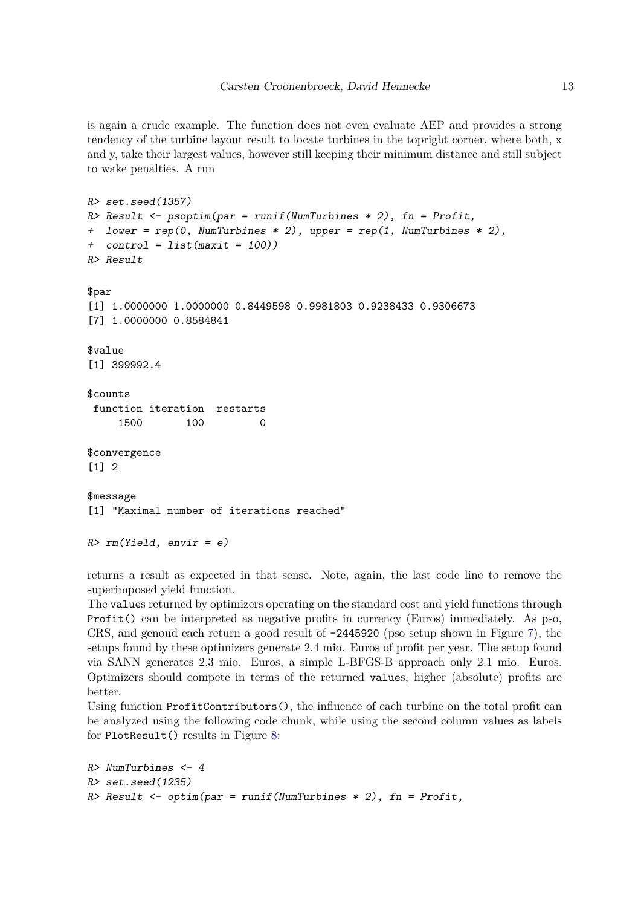is again a crude example. The function does not even evaluate AEP and provides a strong tendency of the turbine layout result to locate turbines in the topright corner, where both, x and y, take their largest values, however still keeping their minimum distance and still subject to wake penalties. A run

```
R> set.seed(1357)
R> Result <- psoptim(par = runif(NumTurbines * 2), fn = Profit,
+ lower = rep(0, NumTurbines * 2), upper = rep(1, NumTurbines * 2),
+ control = list(maxit = 100))
R> Result
$par
[1] 1.0000000 1.0000000 0.8449598 0.9981803 0.9238433 0.9306673
[7] 1.0000000 0.8584841
$value
[1] 399992.4
$counts
 function iteration restarts
     1500 100 0
$convergence
[1] 2
$message
[1] "Maximal number of iterations reached"
R> rm(Yield, envir = e)
```
returns a result as expected in that sense. Note, again, the last code line to remove the superimposed yield function.

The values returned by optimizers operating on the standard cost and yield functions through Profit() can be interpreted as negative profits in currency (Euros) immediately. As pso, CRS, and genoud each return a good result of  $-2445920$  (pso setup shown in Figure [7\)](#page-20-0), the setups found by these optimizers generate 2.4 mio. Euros of profit per year. The setup found via SANN generates 2.3 mio. Euros, a simple L-BFGS-B approach only 2.1 mio. Euros. Optimizers should compete in terms of the returned values, higher (absolute) profits are better.

Using function ProfitContributors(), the influence of each turbine on the total profit can be analyzed using the following code chunk, while using the second column values as labels for PlotResult() results in Figure [8:](#page-21-0)

```
R> NumTurbines <- 4
R> set.seed(1235)
R> Result <- optim(par = runif(NumTurbines * 2), fn = Profit,
```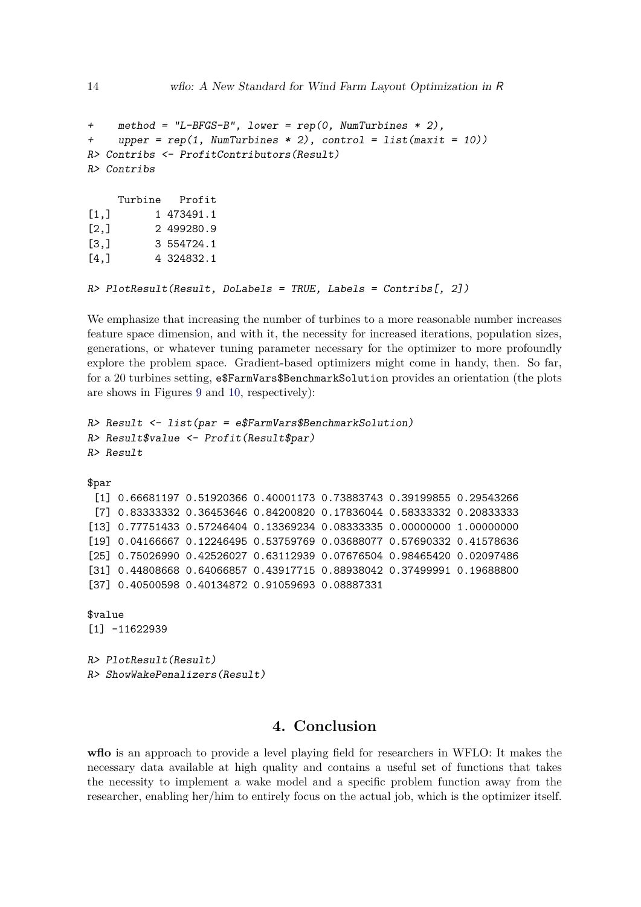```
+ method = "L-BFGS-B", lower = rep(0, NumTurbines * 2),
+ upper = rep(1, NumTurbines * 2), control = list(maxit = 10))
R> Contribs <- ProfitContributors(Result)
R> Contribs
    Turbine Profit
[1,] 1 473491.1
[2,] 2 499280.9
[3,] 3 554724.1
[4,] 4 324832.1
```

```
R> PlotResult(Result, DoLabels = TRUE, Labels = Contribs[, 2])
```
We emphasize that increasing the number of turbines to a more reasonable number increases feature space dimension, and with it, the necessity for increased iterations, population sizes, generations, or whatever tuning parameter necessary for the optimizer to more profoundly explore the problem space. Gradient-based optimizers might come in handy, then. So far, for a 20 turbines setting, e\$FarmVars\$BenchmarkSolution provides an orientation (the plots are shows in Figures [9](#page-22-0) and [10,](#page-23-0) respectively):

```
R> Result <- list(par = e$FarmVars$BenchmarkSolution)
R> Result$value <- Profit(Result$par)
R> Result
$par
 [1] 0.66681197 0.51920366 0.40001173 0.73883743 0.39199855 0.29543266
 [7] 0.83333332 0.36453646 0.84200820 0.17836044 0.58333332 0.20833333
[13] 0.77751433 0.57246404 0.13369234 0.08333335 0.00000000 1.00000000
[19] 0.04166667 0.12246495 0.53759769 0.03688077 0.57690332 0.41578636
[25] 0.75026990 0.42526027 0.63112939 0.07676504 0.98465420 0.02097486
[31] 0.44808668 0.64066857 0.43917715 0.88938042 0.37499991 0.19688800
[37] 0.40500598 0.40134872 0.91059693 0.08887331
```

```
$value
```

```
[1] -11622939
```
*R> PlotResult(Result) R> ShowWakePenalizers(Result)*

# **4. Conclusion**

<span id="page-13-0"></span>**wflo** is an approach to provide a level playing field for researchers in WFLO: It makes the necessary data available at high quality and contains a useful set of functions that takes the necessity to implement a wake model and a specific problem function away from the researcher, enabling her/him to entirely focus on the actual job, which is the optimizer itself.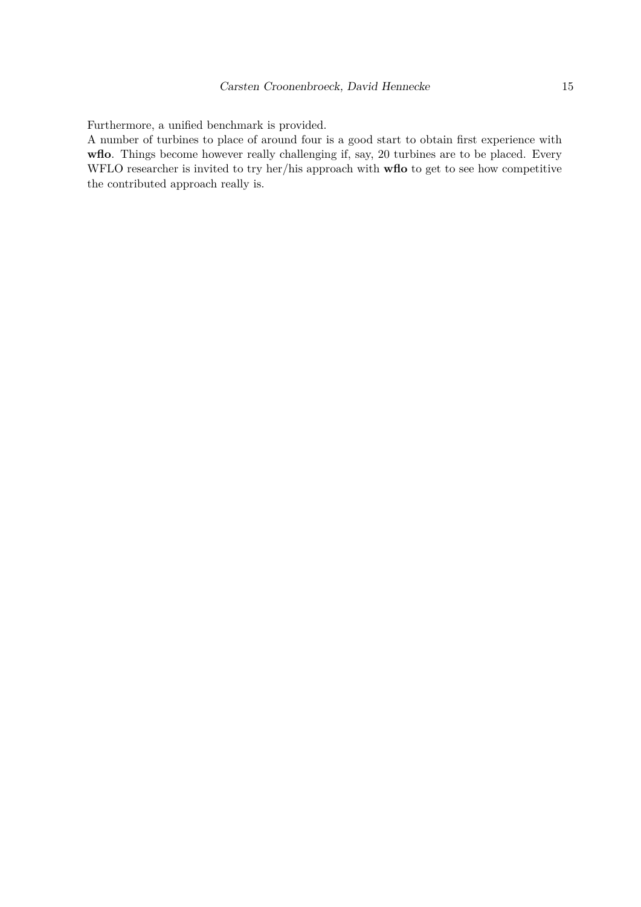Furthermore, a unified benchmark is provided.

A number of turbines to place of around four is a good start to obtain first experience with **wflo**. Things become however really challenging if, say, 20 turbines are to be placed. Every WFLO researcher is invited to try her/his approach with **wflo** to get to see how competitive the contributed approach really is.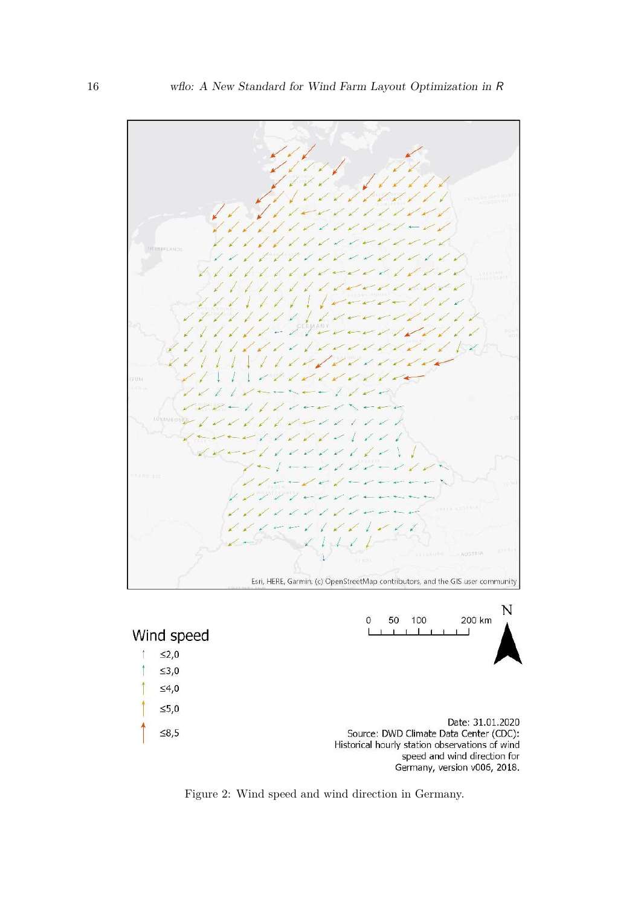

<span id="page-15-0"></span>Figure 2: Wind speed and wind direction in Germany.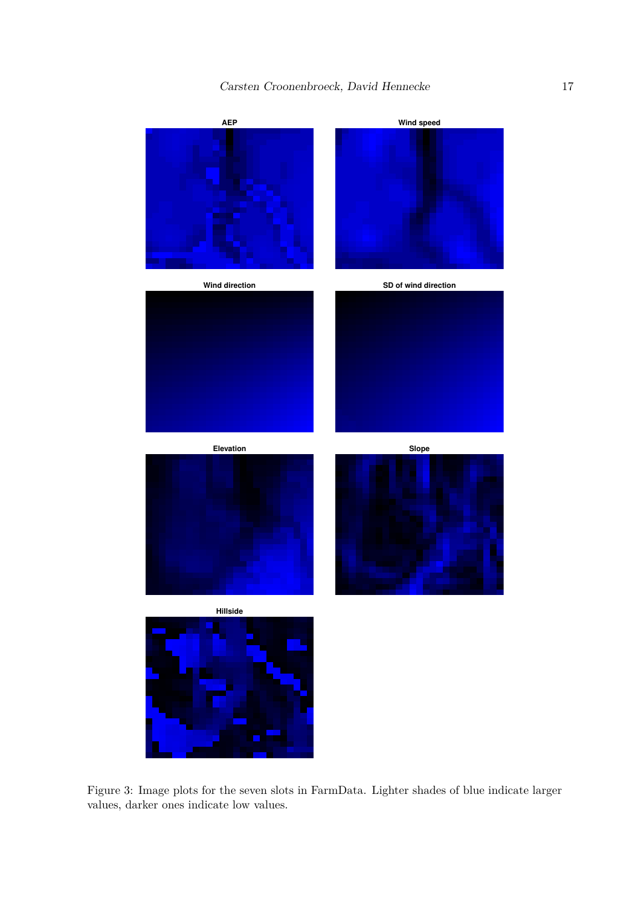

<span id="page-16-0"></span>Figure 3: Image plots for the seven slots in FarmData. Lighter shades of blue indicate larger values, darker ones indicate low values.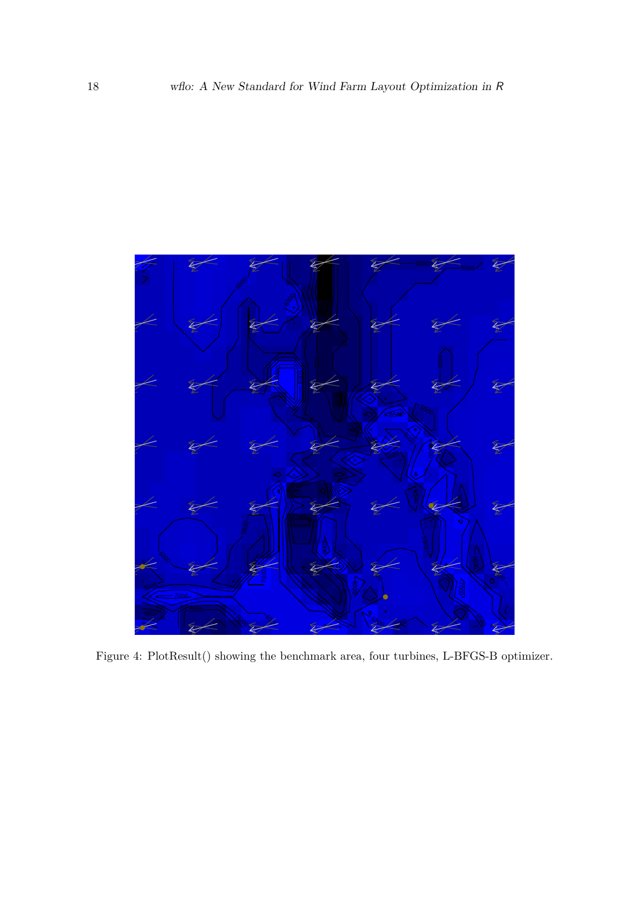<span id="page-17-0"></span>

Figure 4: PlotResult() showing the benchmark area, four turbines, L-BFGS-B optimizer.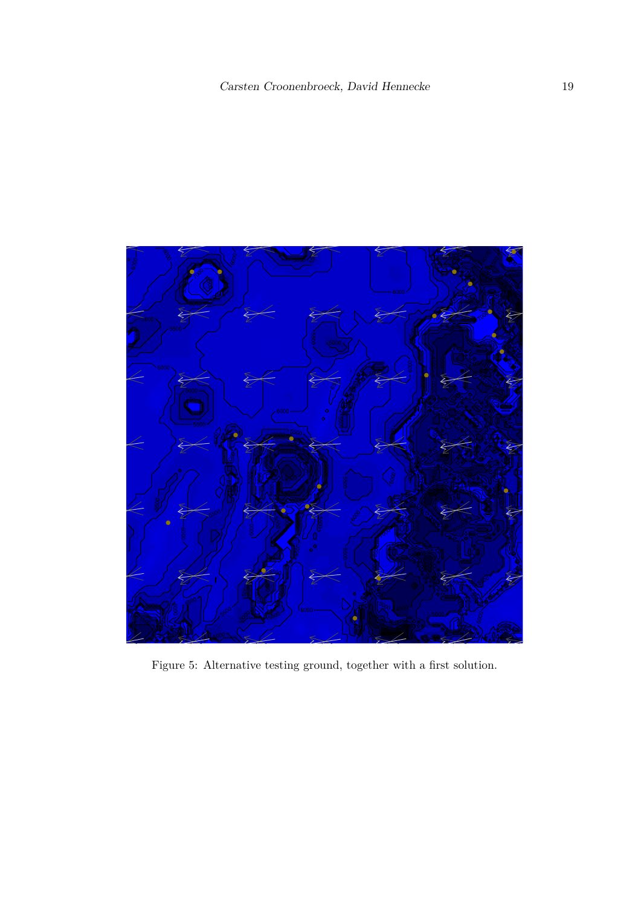<span id="page-18-0"></span>

Figure 5: Alternative testing ground, together with a first solution.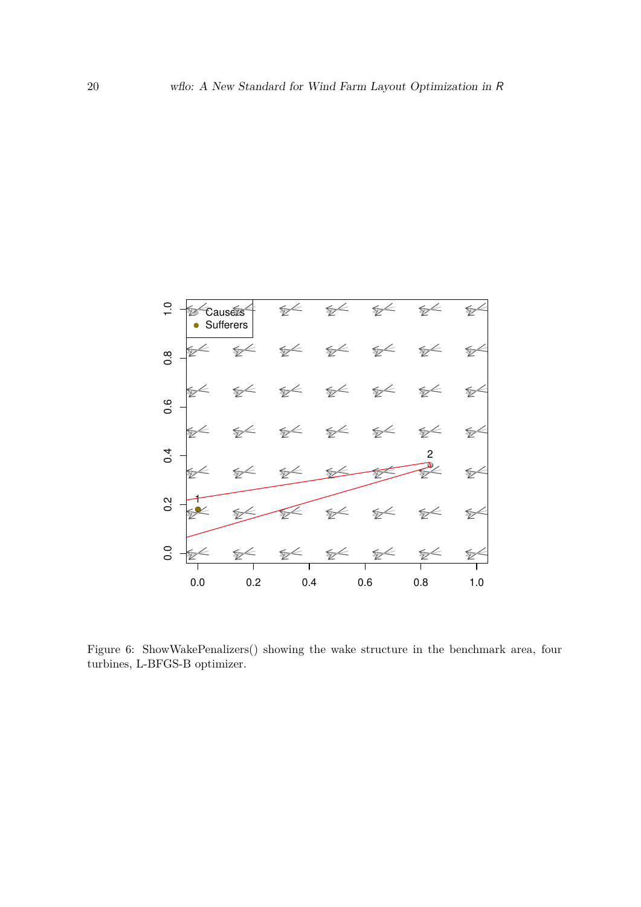

<span id="page-19-0"></span>Figure 6: ShowWakePenalizers() showing the wake structure in the benchmark area, four turbines, L-BFGS-B optimizer.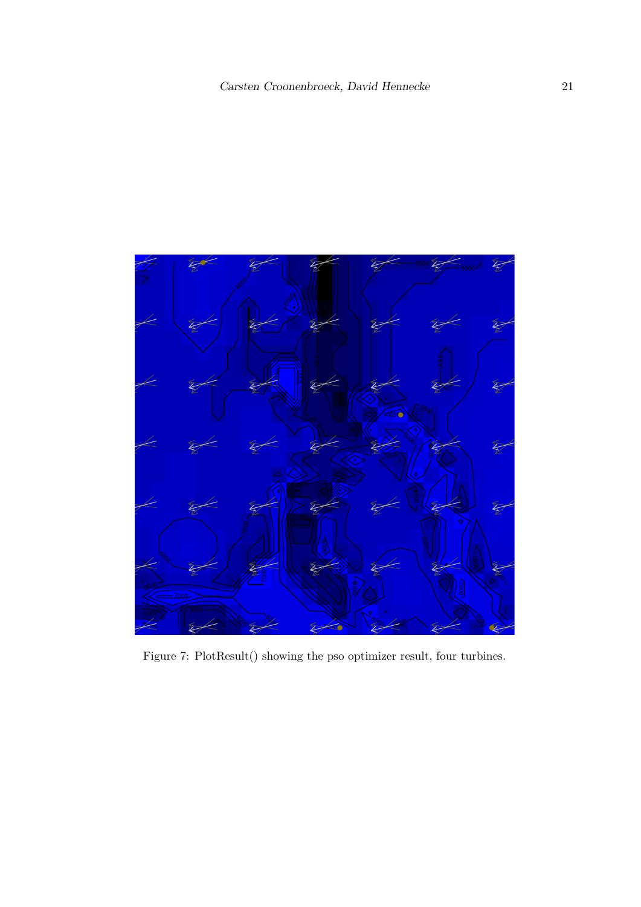<span id="page-20-0"></span>

Figure 7: PlotResult() showing the pso optimizer result, four turbines.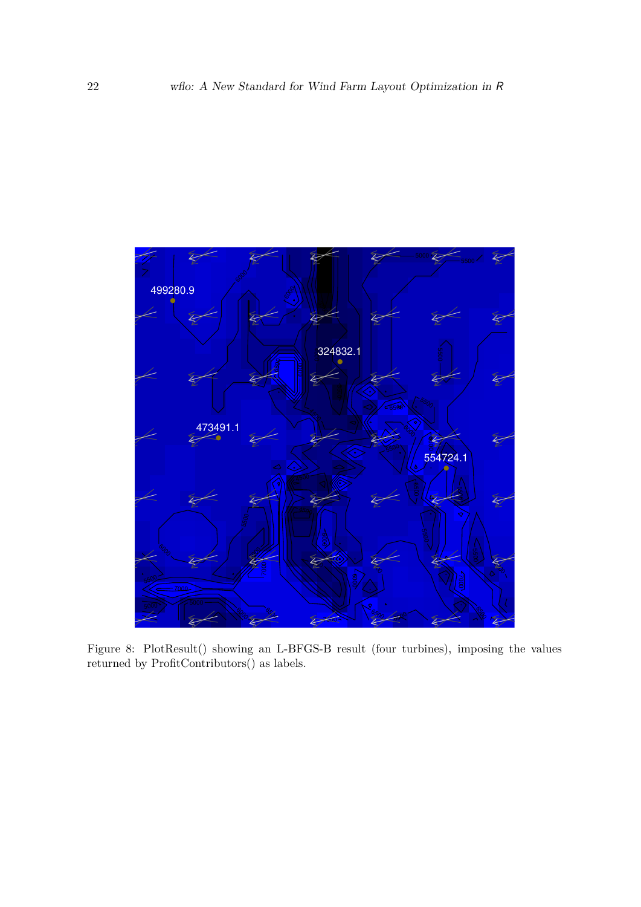<span id="page-21-0"></span>

Figure 8: PlotResult() showing an L-BFGS-B result (four turbines), imposing the values returned by ProfitContributors() as labels.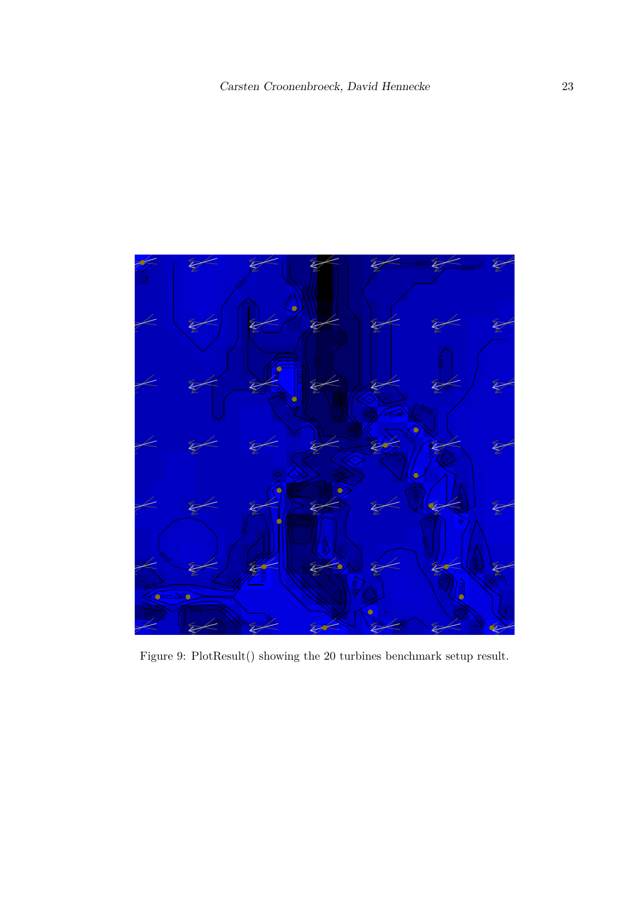<span id="page-22-0"></span>

Figure 9: PlotResult() showing the 20 turbines benchmark setup result.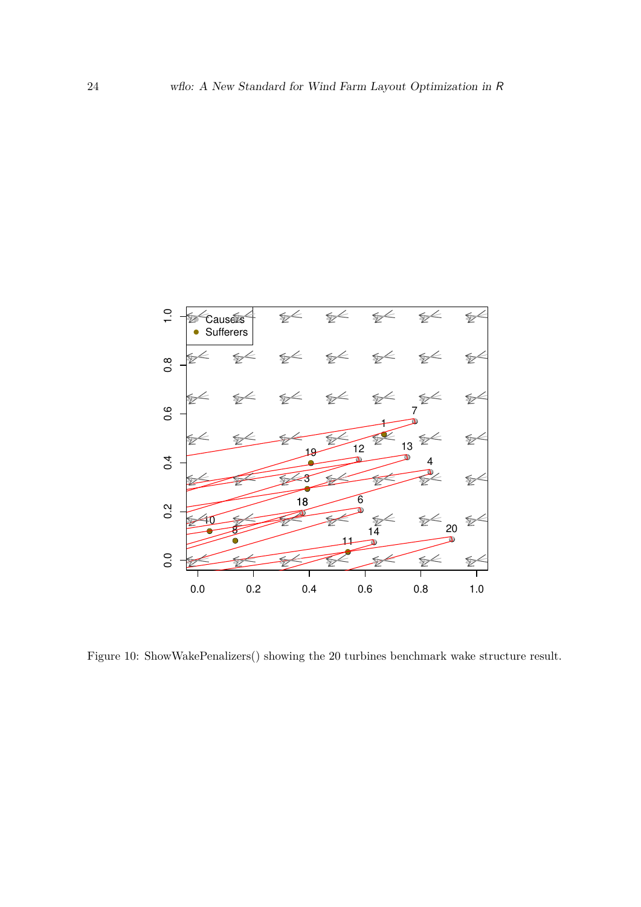

<span id="page-23-0"></span>Figure 10: ShowWakePenalizers() showing the 20 turbines benchmark wake structure result.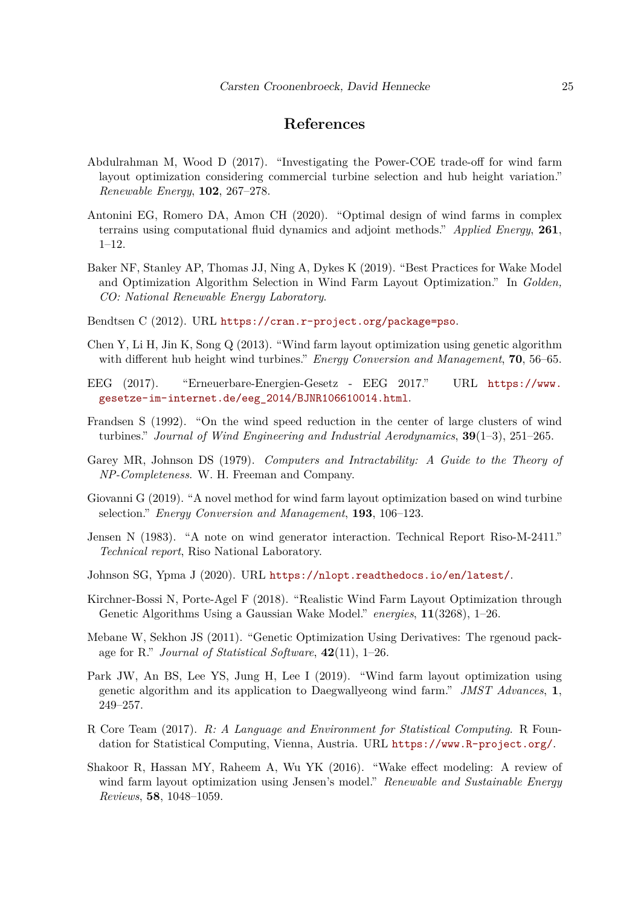# **References**

- <span id="page-24-13"></span>Abdulrahman M, Wood D (2017). "Investigating the Power-COE trade-off for wind farm layout optimization considering commercial turbine selection and hub height variation." *Renewable Energy*, **102**, 267–278.
- <span id="page-24-7"></span>Antonini EG, Romero DA, Amon CH (2020). "Optimal design of wind farms in complex terrains using computational fluid dynamics and adjoint methods." *Applied Energy*, **261**, 1–12.
- <span id="page-24-8"></span>Baker NF, Stanley AP, Thomas JJ, Ning A, Dykes K (2019). "Best Practices for Wake Model and Optimization Algorithm Selection in Wind Farm Layout Optimization." In *Golden, CO: National Renewable Energy Laboratory*.
- <span id="page-24-15"></span>Bendtsen C (2012). URL <https://cran.r-project.org/package=pso>.
- <span id="page-24-4"></span>Chen Y, Li H, Jin K, Song Q (2013). "Wind farm layout optimization using genetic algorithm with different hub height wind turbines." *Energy Conversion and Management*, **70**, 56–65.
- <span id="page-24-10"></span>EEG (2017). "Erneuerbare-Energien-Gesetz - EEG 2017." URL [https://www.](https://www.gesetze-im-internet.de/eeg_2014/BJNR106610014.html) [gesetze-im-internet.de/eeg\\_2014/BJNR106610014.html](https://www.gesetze-im-internet.de/eeg_2014/BJNR106610014.html).
- <span id="page-24-12"></span>Frandsen S (1992). "On the wind speed reduction in the center of large clusters of wind turbines." *Journal of Wind Engineering and Industrial Aerodynamics*, **39**(1–3), 251–265.
- <span id="page-24-0"></span>Garey MR, Johnson DS (1979). *Computers and Intractability: A Guide to the Theory of NP-Completeness*. W. H. Freeman and Company.
- <span id="page-24-6"></span>Giovanni G (2019). "A novel method for wind farm layout optimization based on wind turbine selection." *Energy Conversion and Management*, **193**, 106–123.
- <span id="page-24-1"></span>Jensen N (1983). "A note on wind generator interaction. Technical Report Riso-M-2411." *Technical report*, Riso National Laboratory.
- <span id="page-24-14"></span>Johnson SG, Ypma J (2020). URL <https://nlopt.readthedocs.io/en/latest/>.
- <span id="page-24-3"></span>Kirchner-Bossi N, Porte-Agel F (2018). "Realistic Wind Farm Layout Optimization through Genetic Algorithms Using a Gaussian Wake Model." *energies*, **11**(3268), 1–26.
- <span id="page-24-11"></span>Mebane W, Sekhon JS (2011). "Genetic Optimization Using Derivatives: The rgenoud package for R." *Journal of Statistical Software*, **42**(11), 1–26.
- <span id="page-24-5"></span>Park JW, An BS, Lee YS, Jung H, Lee I (2019). "Wind farm layout optimization using genetic algorithm and its application to Daegwallyeong wind farm." *JMST Advances*, **1**, 249–257.
- <span id="page-24-9"></span>R Core Team (2017). *R: A Language and Environment for Statistical Computing*. R Foundation for Statistical Computing, Vienna, Austria. URL <https://www.R-project.org/>.
- <span id="page-24-2"></span>Shakoor R, Hassan MY, Raheem A, Wu YK (2016). "Wake effect modeling: A review of wind farm layout optimization using Jensen's model." *Renewable and Sustainable Energy Reviews*, **58**, 1048–1059.